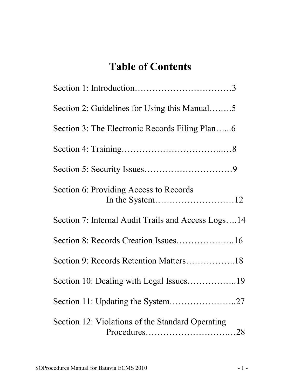# **Table of Contents**

| Section 2: Guidelines for Using this Manual5       |
|----------------------------------------------------|
|                                                    |
|                                                    |
|                                                    |
| Section 6: Providing Access to Records             |
| Section 7: Internal Audit Trails and Access Logs14 |
|                                                    |
|                                                    |
|                                                    |
|                                                    |
| Section 12: Violations of the Standard Operating   |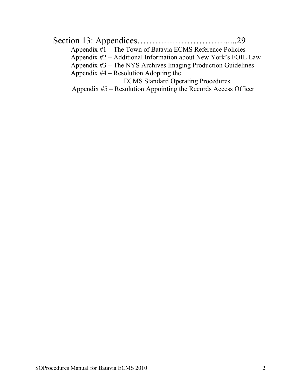| Appendix #1 – The Town of Batavia ECMS Reference Policies      |  |
|----------------------------------------------------------------|--|
| Appendix #2 – Additional Information about New York's FOIL Law |  |
| Appendix #3 – The NYS Archives Imaging Production Guidelines   |  |
| Appendix $#4$ – Resolution Adopting the                        |  |
| <b>ECMS</b> Standard Operating Procedures                      |  |
| Appendix #5 – Resolution Appointing the Records Access Officer |  |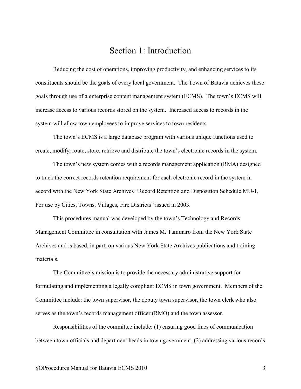### Section 1: Introduction

Reducing the cost of operations, improving productivity, and enhancing services to its constituents should be the goals of every local government. The Town of Batavia achieves these goals through use of a enterprise content management system (ECMS). The town's ECMS will increase access to various records stored on the system. Increased access to records in the system will allow town employees to improve services to town residents.

The town's ECMS is a large database program with various unique functions used to create, modify, route, store, retrieve and distribute the town's electronic records in the system.

The town's new system comes with a records management application (RMA) designed to track the correct records retention requirement for each electronic record in the system in accord with the New York State Archives "Record Retention and Disposition Schedule MU-1, For use by Cities, Towns, Villages, Fire Districts" issued in 2003.

This procedures manual was developed by the town's Technology and Records Management Committee in consultation with James M. Tammaro from the New York State Archives and is based, in part, on various New York State Archives publications and training materials.

The Committee's mission is to provide the necessary administrative support for formulating and implementing a legally compliant ECMS in town government. Members of the Committee include: the town supervisor, the deputy town supervisor, the town clerk who also serves as the town's records management officer (RMO) and the town assessor.

Responsibilities of the committee include: (1) ensuring good lines of communication between town officials and department heads in town government, (2) addressing various records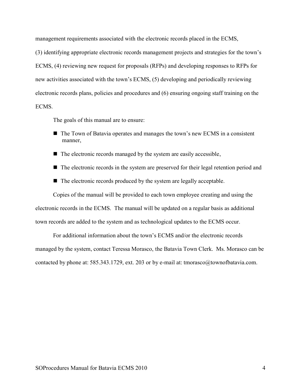management requirements associated with the electronic records placed in the ECMS,

(3) identifying appropriate electronic records management projects and strategies for the town's ECMS, (4) reviewing new request for proposals (RFPs) and developing responses to RFPs for new activities associated with the town's ECMS, (5) developing and periodically reviewing electronic records plans, policies and procedures and (6) ensuring ongoing staff training on the **ECMS** 

The goals of this manual are to ensure:

- The Town of Batavia operates and manages the town's new ECMS in a consistent manner,
- $\blacksquare$  The electronic records managed by the system are easily accessible,
- The electronic records in the system are preserved for their legal retention period and
- $\blacksquare$  The electronic records produced by the system are legally acceptable.

Copies of the manual will be provided to each town employee creating and using the electronic records in the ECMS. The manual will be updated on a regular basis as additional town records are added to the system and as technological updates to the ECMS occur.

For additional information about the town's ECMS and/or the electronic records managed by the system, contact Teressa Morasco, the Batavia Town Clerk. Ms. Morasco can be contacted by phone at: 585.343.1729, ext. 203 or by e-mail at: tmorasco@townofbatavia.com.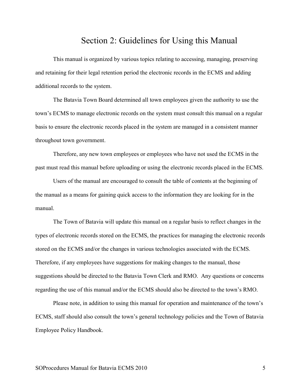### Section 2: Guidelines for Using this Manual

This manual is organized by various topics relating to accessing, managing, preserving and retaining for their legal retention period the electronic records in the ECMS and adding additional records to the system.

The Batavia Town Board determined all town employees given the authority to use the town's ECMS to manage electronic records on the system must consult this manual on a regular basis to ensure the electronic records placed in the system are managed in a consistent manner throughout town government.

Therefore, any new town employees or employees who have not used the ECMS in the past must read this manual before uploading or using the electronic records placed in the ECMS.

Users of the manual are encouraged to consult the table of contents at the beginning of the manual as a means for gaining quick access to the information they are looking for in the manual.

The Town of Batavia will update this manual on a regular basis to reflect changes in the types of electronic records stored on the ECMS, the practices for managing the electronic records stored on the ECMS and/or the changes in various technologies associated with the ECMS. Therefore, if any employees have suggestions for making changes to the manual, those suggestions should be directed to the Batavia Town Clerk and RMO. Any questions or concerns regarding the use of this manual and/or the ECMS should also be directed to the town's RMO.

Please note, in addition to using this manual for operation and maintenance of the town's ECMS, staff should also consult the town's general technology policies and the Town of Batavia Employee Policy Handbook.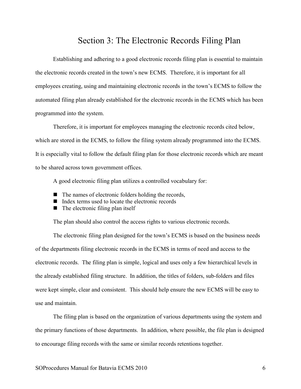### Section 3: The Electronic Records Filing Plan

Establishing and adhering to a good electronic records filing plan is essential to maintain the electronic records created in the town's new ECMS. Therefore, it is important for all employees creating, using and maintaining electronic records in the town's ECMS to follow the automated filing plan already established for the electronic records in the ECMS which has been programmed into the system.

Therefore, it is important for employees managing the electronic records cited below, which are stored in the ECMS, to follow the filing system already programmed into the ECMS. It is especially vital to follow the default filing plan for those electronic records which are meant to be shared across town government offices.

A good electronic filing plan utilizes a controlled vocabulary for:

- $\blacksquare$  The names of electronic folders holding the records,
- Index terms used to locate the electronic records
- $\blacksquare$  The electronic filing plan itself

The plan should also control the access rights to various electronic records.

The electronic filing plan designed for the town's ECMS is based on the business needs of the departments filing electronic records in the ECMS in terms of need and access to the electronic records. The filing plan is simple, logical and uses only a few hierarchical levels in the already established filing structure. In addition, the titles of folders, sub-folders and files were kept simple, clear and consistent. This should help ensure the new ECMS will be easy to use and maintain.

The filing plan is based on the organization of various departments using the system and the primary functions of those departments. In addition, where possible, the file plan is designed to encourage filing records with the same or similar records retentions together.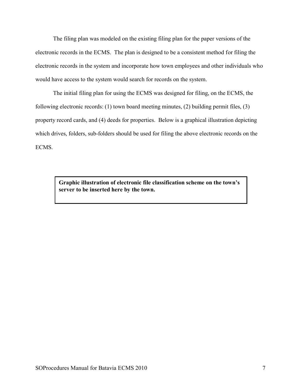The filing plan was modeled on the existing filing plan for the paper versions of the electronic records in the ECMS. The plan is designed to be a consistent method for filing the electronic records in the system and incorporate how town employees and other individuals who would have access to the system would search for records on the system.

The initial filing plan for using the ECMS was designed for filing, on the ECMS, the following electronic records: (1) town board meeting minutes, (2) building permit files, (3) property record cards, and (4) deeds for properties. Below is a graphical illustration depicting which drives, folders, sub-folders should be used for filing the above electronic records on the ECMS.

> **Graphic illustration of electronic file classification scheme on the town's server to be inserted here by the town.**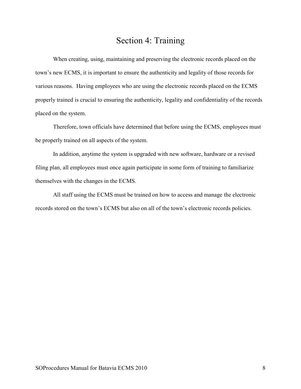# Section 4: Training

 When creating, using, maintaining and preserving the electronic records placed on the town's new ECMS, it is important to ensure the authenticity and legality of those records for various reasons. Having employees who are using the electronic records placed on the ECMS properly trained is crucial to ensuring the authenticity, legality and confidentiality of the records placed on the system.

Therefore, town officials have determined that before using the ECMS, employees must be properly trained on all aspects of the system.

In addition, anytime the system is upgraded with new software, hardware or a revised filing plan, all employees must once again participate in some form of training to familiarize themselves with the changes in the ECMS.

All staff using the ECMS must be trained on how to access and manage the electronic records stored on the town's ECMS but also on all of the town's electronic records policies.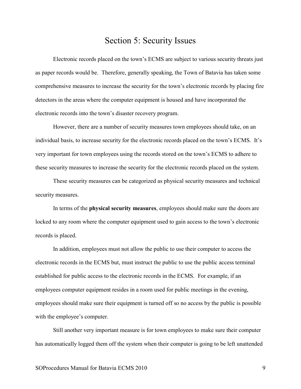### Section 5: Security Issues

 Electronic records placed on the town's ECMS are subject to various security threats just as paper records would be. Therefore, generally speaking, the Town of Batavia has taken some comprehensive measures to increase the security for the town's electronic records by placing fire detectors in the areas where the computer equipment is housed and have incorporated the electronic records into the town's disaster recovery program.

 However, there are a number of security measures town employees should take, on an individual basis, to increase security for the electronic records placed on the town's ECMS. It's very important for town employees using the records stored on the town's ECMS to adhere to these security measures to increase the security for the electronic records placed on the system.

These security measures can be categorized as physical security measures and technical security measures.

In terms of the **physical security measures**, employees should make sure the doors are locked to any room where the computer equipment used to gain access to the town's electronic records is placed.

In addition, employees must not allow the public to use their computer to access the electronic records in the ECMS but, must instruct the public to use the public access terminal established for public access to the electronic records in the ECMS. For example, if an employees computer equipment resides in a room used for public meetings in the evening, employees should make sure their equipment is turned off so no access by the public is possible with the employee's computer.

Still another very important measure is for town employees to make sure their computer has automatically logged them off the system when their computer is going to be left unattended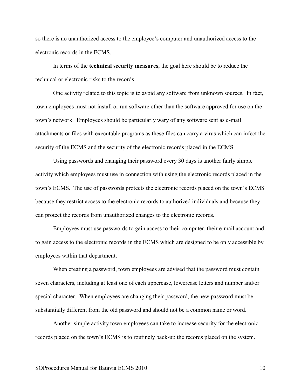so there is no unauthorized access to the employee's computer and unauthorized access to the electronic records in the ECMS.

In terms of the **technical security measures**, the goal here should be to reduce the technical or electronic risks to the records.

One activity related to this topic is to avoid any software from unknown sources. In fact, town employees must not install or run software other than the software approved for use on the town's network. Employees should be particularly wary of any software sent as e-mail attachments or files with executable programs as these files can carry a virus which can infect the security of the ECMS and the security of the electronic records placed in the ECMS.

Using passwords and changing their password every 30 days is another fairly simple activity which employees must use in connection with using the electronic records placed in the town's ECMS. The use of passwords protects the electronic records placed on the town's ECMS because they restrict access to the electronic records to authorized individuals and because they can protect the records from unauthorized changes to the electronic records.

Employees must use passwords to gain access to their computer, their e-mail account and to gain access to the electronic records in the ECMS which are designed to be only accessible by employees within that department.

When creating a password, town employees are advised that the password must contain seven characters, including at least one of each uppercase, lowercase letters and number and/or special character. When employees are changing their password, the new password must be substantially different from the old password and should not be a common name or word.

Another simple activity town employees can take to increase security for the electronic records placed on the town's ECMS is to routinely back-up the records placed on the system.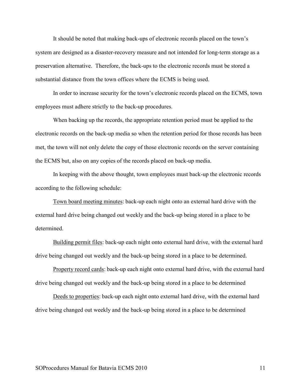It should be noted that making back-ups of electronic records placed on the town's system are designed as a disaster-recovery measure and not intended for long-term storage as a preservation alternative. Therefore, the back-ups to the electronic records must be stored a substantial distance from the town offices where the ECMS is being used.

In order to increase security for the town's electronic records placed on the ECMS, town employees must adhere strictly to the back-up procedures.

When backing up the records, the appropriate retention period must be applied to the electronic records on the back-up media so when the retention period for those records has been met, the town will not only delete the copy of those electronic records on the server containing the ECMS but, also on any copies of the records placed on back-up media.

In keeping with the above thought, town employees must back-up the electronic records according to the following schedule:

Town board meeting minutes: back-up each night onto an external hard drive with the external hard drive being changed out weekly and the back-up being stored in a place to be determined.

Building permit files: back-up each night onto external hard drive, with the external hard drive being changed out weekly and the back-up being stored in a place to be determined.

Property record cards: back-up each night onto external hard drive, with the external hard drive being changed out weekly and the back-up being stored in a place to be determined

Deeds to properties: back-up each night onto external hard drive, with the external hard drive being changed out weekly and the back-up being stored in a place to be determined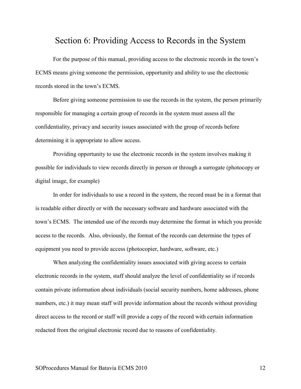### Section 6: Providing Access to Records in the System

For the purpose of this manual, providing access to the electronic records in the town's ECMS means giving someone the permission, opportunity and ability to use the electronic records stored in the town's ECMS.

 Before giving someone permission to use the records in the system, the person primarily responsible for managing a certain group of records in the system must assess all the confidentiality, privacy and security issues associated with the group of records before determining it is appropriate to allow access.

 Providing opportunity to use the electronic records in the system involves making it possible for individuals to view records directly in person or through a surrogate (photocopy or digital image, for example)

 In order for individuals to use a record in the system, the record must be in a format that is readable either directly or with the necessary software and hardware associated with the town's ECMS. The intended use of the records may determine the format in which you provide access to the records. Also, obviously, the format of the records can determine the types of equipment you need to provide access (photocopier, hardware, software, etc.)

When analyzing the confidentiality issues associated with giving access to certain electronic records in the system, staff should analyze the level of confidentiality so if records contain private information about individuals (social security numbers, home addresses, phone numbers, etc.) it may mean staff will provide information about the records without providing direct access to the record or staff will provide a copy of the record with certain information redacted from the original electronic record due to reasons of confidentiality.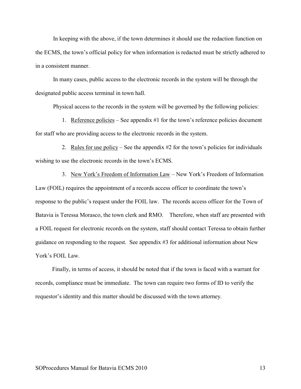In keeping with the above, if the town determines it should use the redaction function on the ECMS, the town's official policy for when information is redacted must be strictly adhered to in a consistent manner.

 In many cases, public access to the electronic records in the system will be through the designated public access terminal in town hall.

Physical access to the records in the system will be governed by the following policies:

1. Reference policies – See appendix #1 for the town's reference policies document for staff who are providing access to the electronic records in the system.

2. Rules for use policy – See the appendix  $#2$  for the town's policies for individuals wishing to use the electronic records in the town's ECMS.

3. New York's Freedom of Information Law – New York's Freedom of Information Law (FOIL) requires the appointment of a records access officer to coordinate the town's response to the public's request under the FOIL law. The records access officer for the Town of Batavia is Teressa Morasco, the town clerk and RMO. Therefore, when staff are presented with a FOIL request for electronic records on the system, staff should contact Teressa to obtain further guidance on responding to the request. See appendix #3 for additional information about New York's FOIL Law.

Finally, in terms of access, it should be noted that if the town is faced with a warrant for records, compliance must be immediate. The town can require two forms of ID to verify the requestor's identity and this matter should be discussed with the town attorney.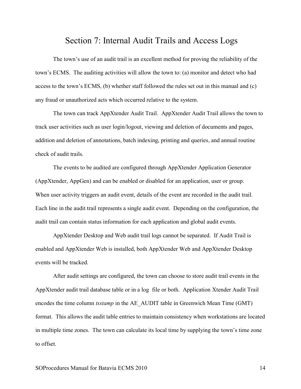### Section 7: Internal Audit Trails and Access Logs

 The town's use of an audit trail is an excellent method for proving the reliability of the town's ECMS. The auditing activities will allow the town to: (a) monitor and detect who had access to the town's ECMS, (b) whether staff followed the rules set out in this manual and (c) any fraud or unauthorized acts which occurred relative to the system.

 The town can track AppXtender Audit Trail. AppXtender Audit Trail allows the town to track user activities such as user login/logout, viewing and deletion of documents and pages, addition and deletion of annotations, batch indexing, printing and queries, and annual routine check of audit trails.

The events to be audited are configured through AppXtender Application Generator (AppXtender, AppGen) and can be enabled or disabled for an application, user or group. When user activity triggers an audit event, details of the event are recorded in the audit trail. Each line in the audit trail represents a single audit event. Depending on the configuration, the audit trail can contain status information for each application and global audit events.

 AppXtender Desktop and Web audit trail logs cannot be separated. If Audit Trail is enabled and AppXtender Web is installed, both AppXtender Web and AppXtender Desktop events will be tracked.

 After audit settings are configured, the town can choose to store audit trail events in the AppXtender audit trail database table or in a log file or both. Application Xtender Audit Trail encodes the time column *tsstamp* in the AE\_AUDIT table in Greenwich Mean Time (GMT) format. This allows the audit table entries to maintain consistency when workstations are located in multiple time zones. The town can calculate its local time by supplying the town's time zone to offset.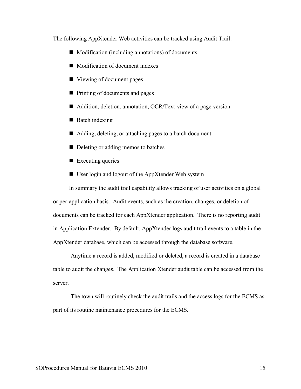The following AppXtender Web activities can be tracked using Audit Trail:

- Modification (including annotations) of documents.
- Modification of document indexes
- Viewing of document pages
- Printing of documents and pages
- Addition, deletion, annotation, OCR/Text-view of a page version
- $\blacksquare$  Batch indexing
- Adding, deleting, or attaching pages to a batch document
- Deleting or adding memos to batches
- $\blacksquare$  Executing queries
- User login and logout of the AppXtender Web system

In summary the audit trail capability allows tracking of user activities on a global or per-application basis. Audit events, such as the creation, changes, or deletion of documents can be tracked for each AppXtender application. There is no reporting audit in Application Extender. By default, AppXtender logs audit trail events to a table in the AppXtender database, which can be accessed through the database software.

 Anytime a record is added, modified or deleted, a record is created in a database table to audit the changes. The Application Xtender audit table can be accessed from the server.

 The town will routinely check the audit trails and the access logs for the ECMS as part of its routine maintenance procedures for the ECMS.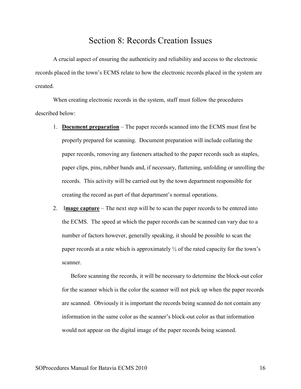# Section 8: Records Creation Issues

A crucial aspect of ensuring the authenticity and reliability and access to the electronic records placed in the town's ECMS relate to how the electronic records placed in the system are created.

 When creating electronic records in the system, staff must follow the procedures described below:

- 1. **Document preparation** The paper records scanned into the ECMS must first be properly prepared for scanning. Document preparation will include collating the paper records, removing any fasteners attached to the paper records such as staples, paper clips, pins, rubber bands and, if necessary, flattening, unfolding or unrolling the records. This activity will be carried out by the town department responsible for creating the record as part of that department's normal operations.
- 2. I**mage capture** The next step will be to scan the paper records to be entered into the ECMS. The speed at which the paper records can be scanned can vary due to a number of factors however, generally speaking, it should be possible to scan the paper records at a rate which is approximately  $\frac{1}{2}$  of the rated capacity for the town's scanner.

Before scanning the records, it will be necessary to determine the block-out color for the scanner which is the color the scanner will not pick up when the paper records are scanned. Obviously it is important the records being scanned do not contain any information in the same color as the scanner's block-out color as that information would not appear on the digital image of the paper records being scanned.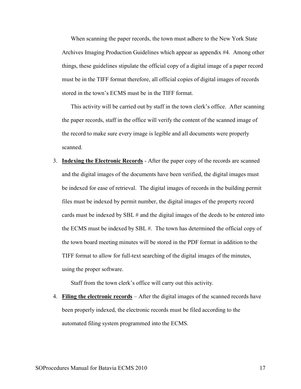When scanning the paper records, the town must adhere to the New York State Archives Imaging Production Guidelines which appear as appendix #4. Among other things, these guidelines stipulate the official copy of a digital image of a paper record must be in the TIFF format therefore, all official copies of digital images of records stored in the town's ECMS must be in the TIFF format.

This activity will be carried out by staff in the town clerk's office. After scanning the paper records, staff in the office will verify the content of the scanned image of the record to make sure every image is legible and all documents were properly scanned.

3. **Indexing the Electronic Records** - After the paper copy of the records are scanned and the digital images of the documents have been verified, the digital images must be indexed for ease of retrieval. The digital images of records in the building permit files must be indexed by permit number, the digital images of the property record cards must be indexed by SBL # and the digital images of the deeds to be entered into the ECMS must be indexed by SBL #. The town has determined the official copy of the town board meeting minutes will be stored in the PDF format in addition to the TIFF format to allow for full-text searching of the digital images of the minutes, using the proper software.

Staff from the town clerk's office will carry out this activity.

4. **Filing the electronic records** – After the digital images of the scanned records have been properly indexed, the electronic records must be filed according to the automated filing system programmed into the ECMS.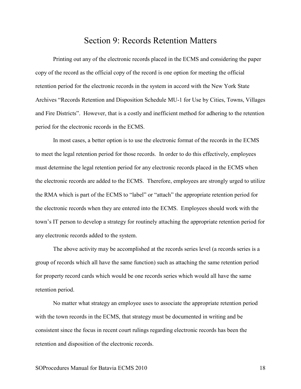### Section 9: Records Retention Matters

Printing out any of the electronic records placed in the ECMS and considering the paper copy of the record as the official copy of the record is one option for meeting the official retention period for the electronic records in the system in accord with the New York State Archives "Records Retention and Disposition Schedule MU-1 for Use by Cities, Towns, Villages and Fire Districts". However, that is a costly and inefficient method for adhering to the retention period for the electronic records in the ECMS.

 In most cases, a better option is to use the electronic format of the records in the ECMS to meet the legal retention period for those records. In order to do this effectively, employees must determine the legal retention period for any electronic records placed in the ECMS when the electronic records are added to the ECMS. Therefore, employees are strongly urged to utilize the RMA which is part of the ECMS to "label" or "attach" the appropriate retention period for the electronic records when they are entered into the ECMS. Employees should work with the town's IT person to develop a strategy for routinely attaching the appropriate retention period for any electronic records added to the system.

 The above activity may be accomplished at the records series level (a records series is a group of records which all have the same function) such as attaching the same retention period for property record cards which would be one records series which would all have the same retention period.

 No matter what strategy an employee uses to associate the appropriate retention period with the town records in the ECMS, that strategy must be documented in writing and be consistent since the focus in recent court rulings regarding electronic records has been the retention and disposition of the electronic records.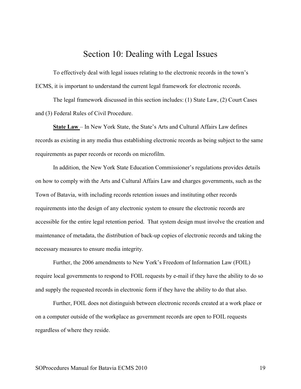### Section 10: Dealing with Legal Issues

To effectively deal with legal issues relating to the electronic records in the town's ECMS, it is important to understand the current legal framework for electronic records.

 The legal framework discussed in this section includes: (1) State Law, (2) Court Cases and (3) Federal Rules of Civil Procedure.

**State Law** – In New York State, the State's Arts and Cultural Affairs Law defines records as existing in any media thus establishing electronic records as being subject to the same requirements as paper records or records on microfilm.

 In addition, the New York State Education Commissioner's regulations provides details on how to comply with the Arts and Cultural Affairs Law and charges governments, such as the Town of Batavia, with including records retention issues and instituting other records requirements into the design of any electronic system to ensure the electronic records are accessible for the entire legal retention period. That system design must involve the creation and maintenance of metadata, the distribution of back-up copies of electronic records and taking the necessary measures to ensure media integrity.

 Further, the 2006 amendments to New York's Freedom of Information Law (FOIL) require local governments to respond to FOIL requests by e-mail if they have the ability to do so and supply the requested records in electronic form if they have the ability to do that also.

 Further, FOIL does not distinguish between electronic records created at a work place or on a computer outside of the workplace as government records are open to FOIL requests regardless of where they reside.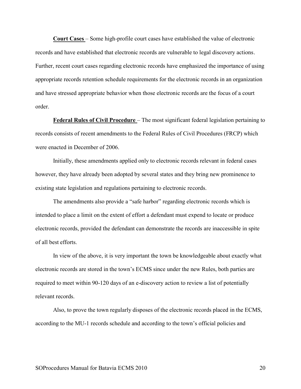**Court Cases** – Some high-profile court cases have established the value of electronic records and have established that electronic records are vulnerable to legal discovery actions. Further, recent court cases regarding electronic records have emphasized the importance of using appropriate records retention schedule requirements for the electronic records in an organization and have stressed appropriate behavior when those electronic records are the focus of a court order.

**Federal Rules of Civil Procedure** – The most significant federal legislation pertaining to records consists of recent amendments to the Federal Rules of Civil Procedures (FRCP) which were enacted in December of 2006.

Initially, these amendments applied only to electronic records relevant in federal cases however, they have already been adopted by several states and they bring new prominence to existing state legislation and regulations pertaining to electronic records.

The amendments also provide a "safe harbor" regarding electronic records which is intended to place a limit on the extent of effort a defendant must expend to locate or produce electronic records, provided the defendant can demonstrate the records are inaccessible in spite of all best efforts.

In view of the above, it is very important the town be knowledgeable about exactly what electronic records are stored in the town's ECMS since under the new Rules, both parties are required to meet within 90-120 days of an e-discovery action to review a list of potentially relevant records.

Also, to prove the town regularly disposes of the electronic records placed in the ECMS, according to the MU-1 records schedule and according to the town's official policies and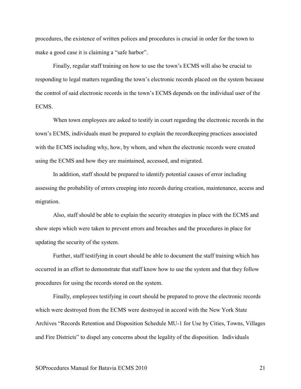procedures, the existence of written polices and procedures is crucial in order for the town to make a good case it is claiming a "safe harbor".

Finally, regular staff training on how to use the town's ECMS will also be crucial to responding to legal matters regarding the town's electronic records placed on the system because the control of said electronic records in the town's ECMS depends on the individual user of the **ECMS** 

When town employees are asked to testify in court regarding the electronic records in the town's ECMS, individuals must be prepared to explain the recordkeeping practices associated with the ECMS including why, how, by whom, and when the electronic records were created using the ECMS and how they are maintained, accessed, and migrated.

In addition, staff should be prepared to identify potential causes of error including assessing the probability of errors creeping into records during creation, maintenance, access and migration.

Also, staff should be able to explain the security strategies in place with the ECMS and show steps which were taken to prevent errors and breaches and the procedures in place for updating the security of the system.

Further, staff testifying in court should be able to document the staff training which has occurred in an effort to demonstrate that staff know how to use the system and that they follow procedures for using the records stored on the system.

Finally, employees testifying in court should be prepared to prove the electronic records which were destroyed from the ECMS were destroyed in accord with the New York State Archives "Records Retention and Disposition Schedule MU-1 for Use by Cities, Towns, Villages and Fire Districts" to dispel any concerns about the legality of the disposition. Individuals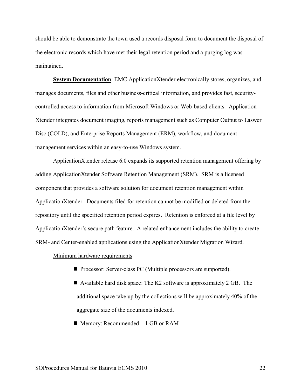should be able to demonstrate the town used a records disposal form to document the disposal of the electronic records which have met their legal retention period and a purging log was maintained.

**System Documentation**: EMC ApplicationXtender electronically stores, organizes, and manages documents, files and other business-critical information, and provides fast, securitycontrolled access to information from Microsoft Windows or Web-based clients. Application Xtender integrates document imaging, reports management such as Computer Output to Laswer Disc (COLD), and Enterprise Reports Management (ERM), workflow, and document management services within an easy-to-use Windows system.

ApplicationXtender release 6.0 expands its supported retention management offering by adding ApplicationXtender Software Retention Management (SRM). SRM is a licensed component that provides a software solution for document retention management within ApplicationXtender. Documents filed for retention cannot be modified or deleted from the repository until the specified retention period expires. Retention is enforced at a file level by ApplicationXtender's secure path feature. A related enhancement includes the ability to create SRM- and Center-enabled applications using the ApplicationXtender Migration Wizard.

Minimum hardware requirements –

- Processor: Server-class PC (Multiple processors are supported).
- Available hard disk space: The K2 software is approximately 2 GB. The additional space take up by the collections will be approximately 40% of the aggregate size of the documents indexed.
- $\blacksquare$  Memory: Recommended 1 GB or RAM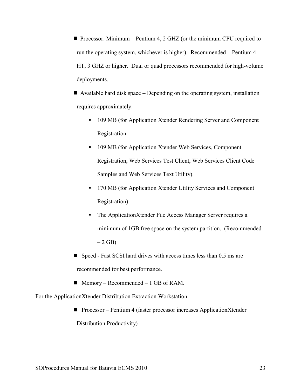**Processor:** Minimum – Pentium 4, 2 GHZ (or the minimum CPU required to run the operating system, whichever is higher). Recommended – Pentium 4 HT, 3 GHZ or higher. Dual or quad processors recommended for high-volume deployments.

 Available hard disk space – Depending on the operating system, installation requires approximately:

- **109 MB (for Application Xtender Rendering Server and Component** Registration.
- 109 MB (for Application Xtender Web Services, Component Registration, Web Services Test Client, Web Services Client Code Samples and Web Services Text Utility).
- <sup>170</sup> MB (for Application Xtender Utility Services and Component Registration).
- The ApplicationXtender File Access Manager Server requires a minimum of 1GB free space on the system partition. (Recommended  $-2$  GB)
- $\blacksquare$  Speed Fast SCSI hard drives with access times less than 0.5 ms are recommended for best performance.
- $\blacksquare$  Memory Recommended 1 GB of RAM.

For the ApplicationXtender Distribution Extraction Workstation

■ Processor – Pentium 4 (faster processor increases ApplicationXtender Distribution Productivity)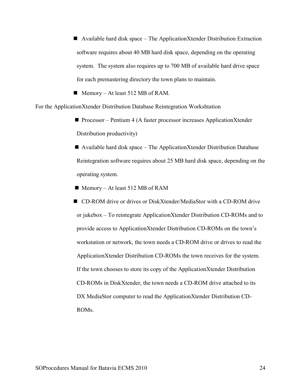Available hard disk space – The ApplicationXtender Distribution Extraction software requires about 40 MB hard disk space, depending on the operating system. The system also requires up to 700 MB of available hard drive space for each premastering directory the town plans to maintain.

 $\blacksquare$  Memory – At least 512 MB of RAM.

For the ApplicationXtender Distribution Database Reintegration Workshtation

■ Processor – Pentium 4 (A faster processor increases ApplicationXtender Distribution productivity)

Available hard disk space – The ApplicationXtender Distribution Database Reintegration software requires about 25 MB hard disk space, depending on the operating system.

- $\blacksquare$  Memory At least 512 MB of RAM
- CD-ROM drive or drives or DiskXtender/MediaStor with a CD-ROM drive or jukebox – To reintegrate ApplicationXtender Distribution CD-ROMs and to provide access to ApplicationXtender Distribution CD-ROMs on the town's workstation or network, the town needs a CD-ROM drive or drives to read the ApplicationXtender Distribution CD-ROMs the town receives for the system. If the town chooses to store its copy of the ApplicationXtender Distribution CD-ROMs in DiskXtender, the town needs a CD-ROM drive attached to its DX MediaStor computer to read the ApplicationXtender Distribution CD-ROMs.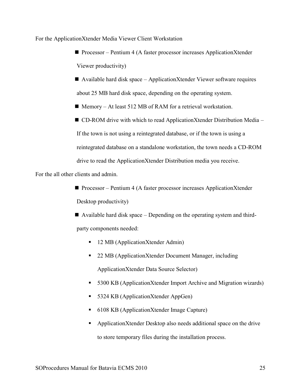For the ApplicationXtender Media Viewer Client Workstation

■ Processor – Pentium 4 (A faster processor increases ApplicationXtender Viewer productivity)

 $\blacksquare$  Available hard disk space – ApplicationXtender Viewer software requires about 25 MB hard disk space, depending on the operating system.

 $\blacksquare$  Memory – At least 512 MB of RAM for a retrieval workstation.

■ CD-ROM drive with which to read ApplicationXtender Distribution Media – If the town is not using a reintegrated database, or if the town is using a reintegrated database on a standalone workstation, the town needs a CD-ROM drive to read the ApplicationXtender Distribution media you receive.

For the all other clients and admin.

- Processor Pentium 4 (A faster processor increases ApplicationXtender Desktop productivity)
- Available hard disk space Depending on the operating system and thirdparty components needed:
	- 12 MB (ApplicationXtender Admin)
	- 22 MB (ApplicationXtender Document Manager, including ApplicationXtender Data Source Selector)
	- 5300 KB (ApplicationXtender Import Archive and Migration wizards)
	- 5324 KB (ApplicationXtender AppGen)
	- 6108 KB (ApplicationXtender Image Capture)
	- **•** ApplicationXtender Desktop also needs additional space on the drive to store temporary files during the installation process.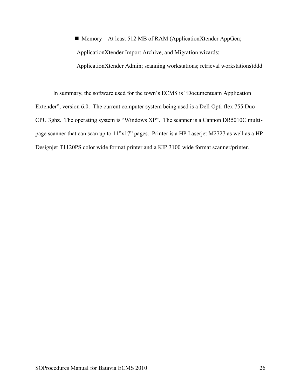■ Memory – At least 512 MB of RAM (ApplicationXtender AppGen; ApplicationXtender Import Archive, and Migration wizards; ApplicationXtender Admin; scanning workstations; retrieval workstations)ddd

In summary, the software used for the town's ECMS is "Documentuam Application Extender", version 6.0. The current computer system being used is a Dell Opti-flex 755 Duo CPU 3ghz. The operating system is "Windows XP". The scanner is a Cannon DR5010C multipage scanner that can scan up to 11"x17" pages. Printer is a HP Laserjet M2727 as well as a HP Designjet T1120PS color wide format printer and a KIP 3100 wide format scanner/printer.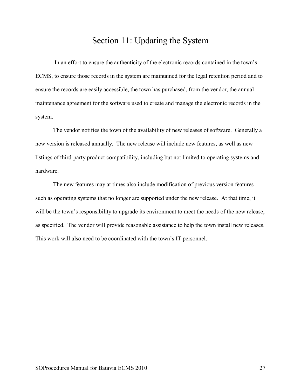### Section 11: Updating the System

 In an effort to ensure the authenticity of the electronic records contained in the town's ECMS, to ensure those records in the system are maintained for the legal retention period and to ensure the records are easily accessible, the town has purchased, from the vendor, the annual maintenance agreement for the software used to create and manage the electronic records in the system.

 The vendor notifies the town of the availability of new releases of software. Generally a new version is released annually. The new release will include new features, as well as new listings of third-party product compatibility, including but not limited to operating systems and hardware.

 The new features may at times also include modification of previous version features such as operating systems that no longer are supported under the new release. At that time, it will be the town's responsibility to upgrade its environment to meet the needs of the new release, as specified. The vendor will provide reasonable assistance to help the town install new releases. This work will also need to be coordinated with the town's IT personnel.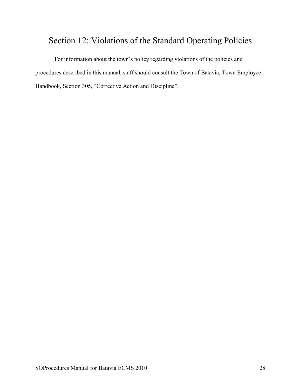# Section 12: Violations of the Standard Operating Policies

 For information about the town's policy regarding violations of the policies and procedures described in this manual, staff should consult the Town of Batavia, Town Employee Handbook, Section 305, "Corrective Action and Discipline".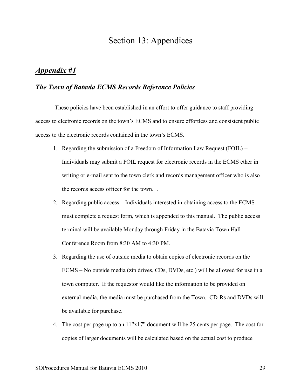### Section 13: Appendices

#### *Appendix #1*

#### *The Town of Batavia ECMS Records Reference Policies*

 These policies have been established in an effort to offer guidance to staff providing access to electronic records on the town's ECMS and to ensure effortless and consistent public access to the electronic records contained in the town's ECMS.

- 1. Regarding the submission of a Freedom of Information Law Request (FOIL) Individuals may submit a FOIL request for electronic records in the ECMS ether in writing or e-mail sent to the town clerk and records management officer who is also the records access officer for the town. .
- 2. Regarding public access Individuals interested in obtaining access to the ECMS must complete a request form, which is appended to this manual. The public access terminal will be available Monday through Friday in the Batavia Town Hall Conference Room from 8:30 AM to 4:30 PM.
- 3. Regarding the use of outside media to obtain copies of electronic records on the ECMS – No outside media (zip drives, CDs, DVDs, etc.) will be allowed for use in a town computer. If the requestor would like the information to be provided on external media, the media must be purchased from the Town. CD-Rs and DVDs will be available for purchase.
- 4. The cost per page up to an 11"x17" document will be 25 cents per page. The cost for copies of larger documents will be calculated based on the actual cost to produce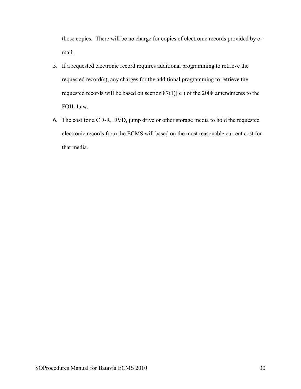those copies. There will be no charge for copies of electronic records provided by email.

- 5. If a requested electronic record requires additional programming to retrieve the requested record(s), any charges for the additional programming to retrieve the requested records will be based on section 87(1)( c ) of the 2008 amendments to the FOIL Law.
- 6. The cost for a CD-R, DVD, jump drive or other storage media to hold the requested electronic records from the ECMS will based on the most reasonable current cost for that media.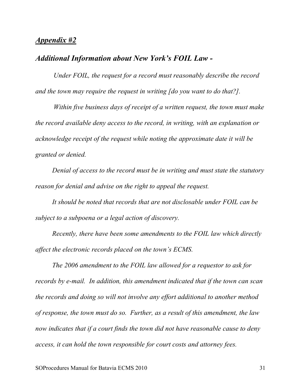#### *Appendix #2*

#### *Additional Information about New York's FOIL Law -*

*Under FOIL, the request for a record must reasonably describe the record and the town may require the request in writing [do you want to do that?].* 

*Within five business days of receipt of a written request, the town must make the record available deny access to the record, in writing, with an explanation or acknowledge receipt of the request while noting the approximate date it will be granted or denied.* 

*Denial of access to the record must be in writing and must state the statutory reason for denial and advise on the right to appeal the request.* 

*It should be noted that records that are not disclosable under FOIL can be subject to a subpoena or a legal action of discovery.* 

*Recently, there have been some amendments to the FOIL law which directly affect the electronic records placed on the town's ECMS.* 

*The 2006 amendment to the FOIL law allowed for a requestor to ask for records by e-mail. In addition, this amendment indicated that if the town can scan the records and doing so will not involve any effort additional to another method of response, the town must do so. Further, as a result of this amendment, the law now indicates that if a court finds the town did not have reasonable cause to deny access, it can hold the town responsible for court costs and attorney fees.*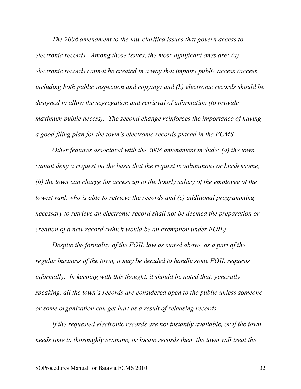*The 2008 amendment to the law clarified issues that govern access to electronic records. Among those issues, the most significant ones are: (a) electronic records cannot be created in a way that impairs public access (access including both public inspection and copying) and (b) electronic records should be designed to allow the segregation and retrieval of information (to provide maximum public access). The second change reinforces the importance of having a good filing plan for the town's electronic records placed in the ECMS.* 

*Other features associated with the 2008 amendment include: (a) the town cannot deny a request on the basis that the request is voluminous or burdensome, (b) the town can charge for access up to the hourly salary of the employee of the lowest rank who is able to retrieve the records and (c) additional programming necessary to retrieve an electronic record shall not be deemed the preparation or creation of a new record (which would be an exemption under FOIL).* 

*Despite the formality of the FOIL law as stated above, as a part of the regular business of the town, it may be decided to handle some FOIL requests informally. In keeping with this thought, it should be noted that, generally speaking, all the town's records are considered open to the public unless someone or some organization can get hurt as a result of releasing records.* 

*If the requested electronic records are not instantly available, or if the town needs time to thoroughly examine, or locate records then, the town will treat the*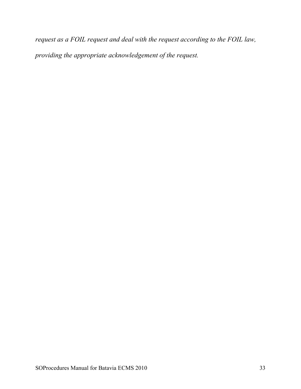*request as a FOIL request and deal with the request according to the FOIL law, providing the appropriate acknowledgement of the request.*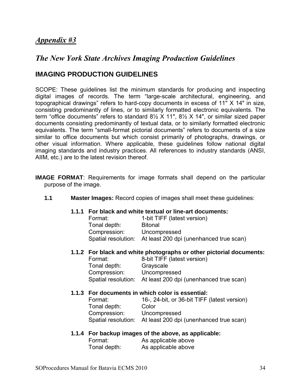### *Appendix #3*

### *The New York State Archives Imaging Production Guidelines*

### **IMAGING PRODUCTION GUIDELINES**

SCOPE: These guidelines list the minimum standards for producing and inspecting digital images of records. The term "large-scale architectural, engineering, and topographical drawings" refers to hard-copy documents in excess of 11" X 14" in size, consisting predominantly of lines, or to similarly formatted electronic equivalents. The term "office documents" refers to standard 8½ X 11", 8½ X 14", or similar sized paper documents consisting predominantly of textual data, or to similarly formatted electronic equivalents. The term "small-format pictorial documents" refers to documents of a size similar to office documents but which consist primarily of photographs, drawings, or other visual information. Where applicable, these guidelines follow national digital imaging standards and industry practices. All references to industry standards (ANSI, AIIM, etc.) are to the latest revision thereof.

**IMAGE FORMAT**: Requirements for image formats shall depend on the particular purpose of the image.

**1.1****Master Images:** Record copies of images shall meet these guidelines:

#### **1.1.1****For black and white textual or line-art documents:**

| Format:      | 1-bit TIFF (latest version)                                 |
|--------------|-------------------------------------------------------------|
| Tonal depth: | <b>Bitonal</b>                                              |
| Compression: | Uncompressed                                                |
|              | Spatial resolution: At least 200 dpi (unenhanced true scan) |

#### **1.1.2****For black and white photographs or other pictorial documents:**

| Format:      | 8-bit TIFF (latest version)                                 |
|--------------|-------------------------------------------------------------|
| Tonal depth: | Grayscale                                                   |
| Compression: | Uncompressed                                                |
|              | Spatial resolution: At least 200 dpi (unenhanced true scan) |

#### **1.1.3****For documents in which color is essential:**

| Format:      | 16-, 24-bit, or 36-bit TIFF (latest version)                |
|--------------|-------------------------------------------------------------|
| Tonal depth: | Color                                                       |
| Compression: | Uncompressed                                                |
|              | Spatial resolution: At least 200 dpi (unenhanced true scan) |

#### **1.1.4****For backup images of the above, as applicable:**

| Format:      | As applicable above |
|--------------|---------------------|
| Tonal depth: | As applicable above |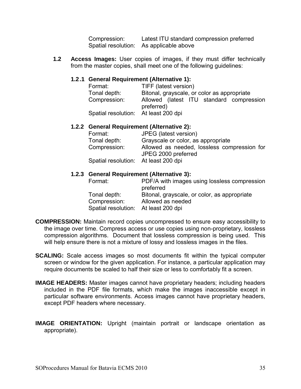Compression: Latest ITU standard compression preferred Spatial resolution: As applicable above

**1.2 Access Images:** User copies of images, if they must differ technically from the master copies, shall meet one of the following guidelines:

#### **1.2 .1 General Requirement (Alternative 1):**

| Format:                              | TIFF (latest version)                                  |  |  |
|--------------------------------------|--------------------------------------------------------|--|--|
| Tonal depth:                         | Bitonal, grayscale, or color as appropriate            |  |  |
| Compression:                         | Allowed (latest ITU standard compression<br>preferred) |  |  |
| Spatial resolution: At least 200 dpi |                                                        |  |  |

#### **1.2.2****General Requirement (Alternative 2):**

| Format:                              | JPEG (latest version)                       |
|--------------------------------------|---------------------------------------------|
| Tonal depth:                         | Grayscale or color, as appropriate          |
| Compression:                         | Allowed as needed, lossless compression for |
|                                      | JPEG 2000 preferred                         |
| Spatial resolution: At least 200 dpi |                                             |

#### **1.2.3 General Requirement (Alternative 3):**

| Format:                              | PDF/A with images using lossless compression<br>preferred |
|--------------------------------------|-----------------------------------------------------------|
| Tonal depth:                         | Bitonal, grayscale, or color, as appropriate              |
| Compression:                         | Allowed as needed                                         |
| Spatial resolution: At least 200 dpi |                                                           |
|                                      |                                                           |

- **COMPRESSION:** Maintain record copies uncompressed to ensure easy accessibility to the image over time. Compress access or use copies using non-proprietary, lossless compression algorithms. Document that lossless compression is being used. This will help ensure there is not a mixture of lossy and lossless images in the files.
- **SCALING:** Scale access images so most documents fit within the typical computer screen or window for the given application. For instance, a particular application may require documents be scaled to half their size or less to comfortably fit a screen.
- **IMAGE HEADERS:** Master images cannot have proprietary headers; including headers included in the PDF file formats, which make the images inaccessible except in particular software environments. Access images cannot have proprietary headers, except PDF headers where necessary.
- **IMAGE ORIENTATION:** Upright (maintain portrait or landscape orientation as appropriate).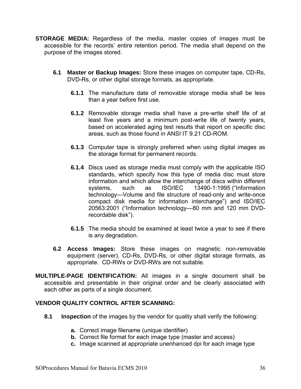- **STORAGE MEDIA:** Regardless of the media, master copies of images must be accessible for the records' entire retention period. The media shall depend on the purpose of the images stored.
	- **6.1 Master or Backup Images:** Store these images on computer tape, CD-Rs, DVD-Rs, or other digital storage formats, as appropriate.
		- **6.1.1** The manufacture date of removable storage media shall be less than a year before first use.
		- **6.1.2** Removable storage media shall have a pre-write shelf life of at least five years and a minimum post-write life of twenty years, based on accelerated aging test results that report on specific disc areas, such as those found in ANSI IT 9.21 CD-ROM.
		- **6.1.3** Computer tape is strongly preferred when using digital images as the storage format for permanent records.
		- **6.1.4** Discs used as storage media must comply with the applicable ISO standards, which specify how this type of media disc must store information and which allow the interchange of discs within different<br>systems. such as ISO/IEC 13490-1:1995 ("Information systems, such as ISO/IEC 13490-1:1995 ("Information technology—Volume and file structure of read-only and write-once compact disk media for information interchange") and ISO/IEC 20563:2001 ("Information technology—80 mm and 120 mm DVDrecordable disk").
		- **6.1.5** The media should be examined at least twice a year to see if there is any degradation.
	- **6.2 Access Images:** Store these images on magnetic non-removable equipment (server), CD-Rs, DVD-Rs, or other digital storage formats, as appropriate. CD-RWs or DVD-RWs are not suitable.
- **MULTIPLE-PAGE IDENTIFICATION:** All images in a single document shall be accessible and presentable in their original order and be clearly associated with each other as parts of a single document.

#### **VENDOR QUALITY CONTROL AFTER SCANNING:**

- **8.1 Inspection** of the images by the vendor for quality shall verify the following:
	- **a.** Correct image filename (unique identifier)
	- **b.** Correct file format for each image type (master and access)
	- **c.** Image scanned at appropriate unenhanced dpi for each image type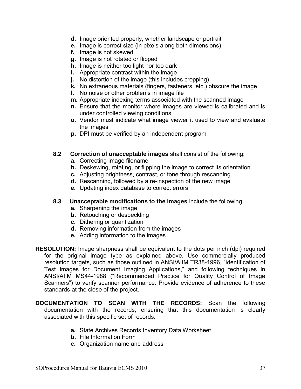- **d.** Image oriented properly, whether landscape or portrait
- **e.** Image is correct size (in pixels along both dimensions)
- **f.** Image is not skewed
- **g.** Image is not rotated or flipped
- **h.** Image is neither too light nor too dark
- **i.** Appropriate contrast within the image
- **j.** No distortion of the image (this includes cropping)
- **k.** No extraneous materials (fingers, fasteners, etc.) obscure the image
- **l.** No noise or other problems in image file
- **m.** Appropriate indexing terms associated with the scanned image
- **n.** Ensure that the monitor where images are viewed is calibrated and is under controlled viewing conditions
- **o.** Vendor must indicate what image viewer it used to view and evaluate the images
- **p.** DPI must be verified by an independent program
- **8.2 Correction of unacceptable images** shall consist of the following:
	- **a.** Correcting image filename
	- **b.** Deskewing, rotating, or flipping the image to correct its orientation
	- **c.** Adjusting brightness, contrast, or tone through rescanning
	- **d.** Rescanning, followed by a re-inspection of the new image
	- **e.** Updating index database to correct errors

#### **8.3 Unacceptable modifications to the images** include the following:

- **a.** Sharpening the image
- **b.** Retouching or despeckling
- **c.** Dithering or quantization
- **d.** Removing information from the images
- **e.** Adding information to the images
- **RESOLUTION:** Image sharpness shall be equivalent to the dots per inch (dpi) required for the original image type as explained above. Use commercially produced resolution targets, such as those outlined in ANSI/AIIM TR38-1996, "Identification of Test Images for Document Imaging Applications," and following techniques in ANSI/AIIM MS44-1988 ("Recommended Practice for Quality Control of Image Scanners") to verify scanner performance. Provide evidence of adherence to these standards at the close of the project.
- **DOCUMENTATION TO SCAN WITH THE RECORDS:** Scan the following documentation with the records, ensuring that this documentation is clearly associated with this specific set of records:
	- **a.** State Archives Records Inventory Data Worksheet
	- **b.** File Information Form
	- **c.** Organization name and address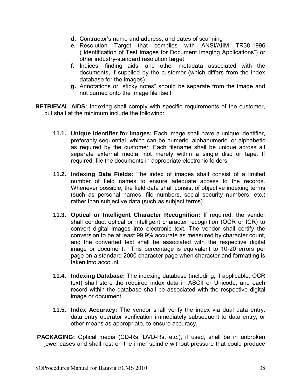- **d.** Contractor's name and address, and dates of scanning
- **e.** Resolution Target that complies with ANSI/AIIM TR38-1996 ("Identification of Test Images for Document Imaging Applications") or other industry-standard resolution target
- **f.** Indices, finding aids, and other metadata associated with the documents, if supplied by the customer (which differs from the index database for the images)
- **g.** Annotations or "sticky notes" should be separate from the image and not burned onto the image file itself

**RETRIEVAL AIDS:** Indexing shall comply with specific requirements of the customer, but shall at the minimum include the following:

- **11.1. Unique Identifier for Images:** Each image shall have a unique identifier, preferably sequential, which can be numeric, alphanumeric, or alphabetic as required by the customer. Each filename shall be unique across all separate external media, not merely within a single disc or tape. If required, file the documents in appropriate electronic folders.
- **11.2. Indexing Data Fields:** The index of images shall consist of a limited number of field names to ensure adequate access to the records. Whenever possible, the field data shall consist of objective indexing terms (such as personal names, file numbers, social security numbers, etc.) rather than subjective data (such as subject terms).
- **11.3. Optical or Intelligent Character Recognition:** If required, the vendor shall conduct optical or intelligent character recognition (OCR or ICR) to convert digital images into electronic text. The vendor shall certify the conversion to be at least 99.9% accurate as measured by character count, and the converted text shall be associated with the respective digital image or document. This percentage is equivalent to 10-20 errors per page on a standard 2000 character page when character and formatting is taken into account.
- **11.4. Indexing Database:** The indexing database (including, if applicable, OCR text) shall store the required index data in ASCII or Unicode, and each record within the database shall be associated with the respective digital image or document.
- **11.5. Index Accuracy:** The vendor shall verify the index via dual data entry, data entry operator verification immediately subsequent to data entry, or other means as appropriate, to ensure accuracy.
- **PACKAGING:** Optical media (CD-Rs, DVD-Rs, etc.), if used, shall be in unbroken jewel cases and shall rest on the inner spindle without pressure that could produce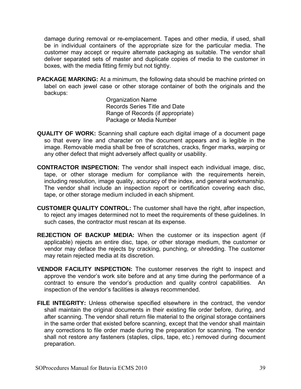damage during removal or re-emplacement. Tapes and other media, if used, shall be in individual containers of the appropriate size for the particular media. The customer may accept or require alternate packaging as suitable. The vendor shall deliver separated sets of master and duplicate copies of media to the customer in boxes, with the media fitting firmly but not tightly.

**PACKAGE MARKING:** At a minimum, the following data should be machine printed on label on each jewel case or other storage container of both the originals and the backups:

Organization Name Records Series Title and Date Range of Records (if appropriate) Package or Media Number

- **QUALITY OF WORK:** Scanning shall capture each digital image of a document page so that every line and character on the document appears and is legible in the image. Removable media shall be free of scratches, cracks, finger marks, warping or any other defect that might adversely affect quality or usability.
- **CONTRACTOR INSPECTION:** The vendor shall inspect each individual image, disc, tape, or other storage medium for compliance with the requirements herein, including resolution, image quality, accuracy of the index, and general workmanship. The vendor shall include an inspection report or certification covering each disc, tape, or other storage medium included in each shipment.
- **CUSTOMER QUALITY CONTROL:** The customer shall have the right, after inspection, to reject any images determined not to meet the requirements of these guidelines. In such cases, the contractor must rescan at its expense.
- **REJECTION OF BACKUP MEDIA:** When the customer or its inspection agent (if applicable) rejects an entire disc, tape, or other storage medium, the customer or vendor may deface the rejects by cracking, punching, or shredding. The customer may retain rejected media at its discretion.
- **VENDOR FACILITY INSPECTION:** The customer reserves the right to inspect and approve the vendor's work site before and at any time during the performance of a contract to ensure the vendor's production and quality control capabilities. An inspection of the vendor's facilities is always recommended.
- **FILE INTEGRITY:** Unless otherwise specified elsewhere in the contract, the vendor shall maintain the original documents in their existing file order before, during, and after scanning. The vendor shall return file material to the original storage containers in the same order that existed before scanning, except that the vendor shall maintain any corrections to file order made during the preparation for scanning. The vendor shall not restore any fasteners (staples, clips, tape, etc.) removed during document preparation.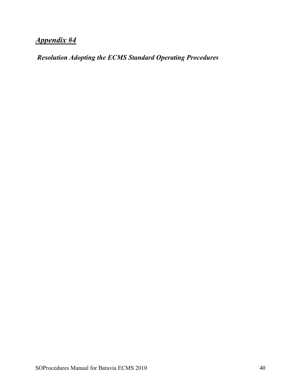# *Appendix #4*

 *Resolution Adopting the ECMS Standard Operating Procedures*